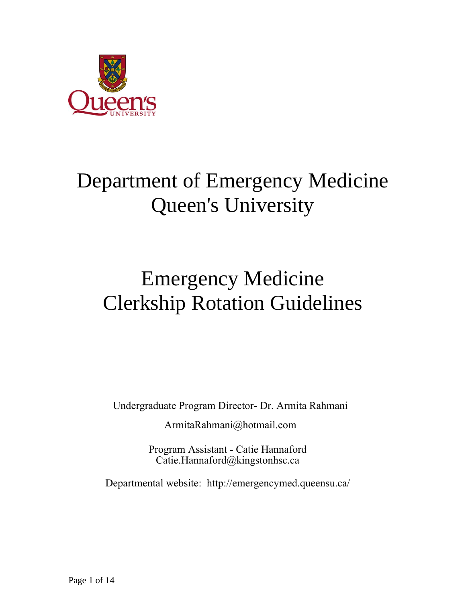

# Department of Emergency Medicine Queen's University

# Emergency Medicine Clerkship Rotation Guidelines

Undergraduate Program Director- Dr. Armita Rahmani

ArmitaRahmani@hotmail.com

Program Assistant [- Catie Hannaford](mailto:Armita.Rahmani@kingstonhsc.ca) Catie.Hannaford@kingstonhsc.ca

Departmental [website: http://emergencymed.](mailto:Susan.Holland@kingstonhsc.ca)queensu.ca/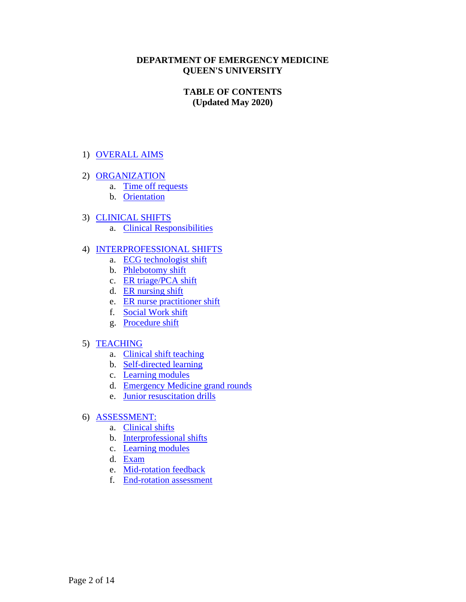#### **DEPARTMENT OF EMERGENCY MEDICINE QUEEN'S UNIVERSITY**

# **TABLE OF CONTENTS (Updated May 2020)**

# 1) [OVERALL AIMS](#page-2-0)

- 2) [ORGANIZATION](#page-3-0)
	- a. [Time off requests](#page-3-1)
	- b. [Orientation](#page-3-2)
- 3) [CLINICAL SHIFTS](#page-4-0)
	- a. [Clinical Responsibilities](#page-4-1)

#### 4) [INTERPROFESSIONAL SHIFTS](#page-6-0)

- a. [ECG technologist shift](#page-6-1)
- b. [Phlebotomy shift](#page-6-2)
- c. [ER triage/PCA shift](#page-7-0)
- d. [ER nursing shift](#page-7-1)
- e. [ER nurse practitioner shift](#page-7-2)
- f. [Social Work shift](#page-8-0)
- g. [Procedure shift](#page-8-1)

# 5) [TEACHING](#page-9-0)

- a. [Clinical shift teaching](#page-9-1)
- b. [Self-directed learning](#page-10-0)
- c. [Learning modules](#page-10-1)
- d. [Emergency Medicine grand rounds](#page-11-0)
- e. [Junior resuscitation drills](#page-11-1)
- 6) [ASSESSMENT:](#page-13-0)
	- a. [Clinical shifts](#page-13-1)
	- b. [Interprofessional shifts](#page-13-2)
	- c. [Learning modules](#page-13-3)
	- d. [Exam](#page-13-4)
	- e. [Mid-rotation feedback](#page-13-5)
	- f. [End-rotation assessment](#page-13-6)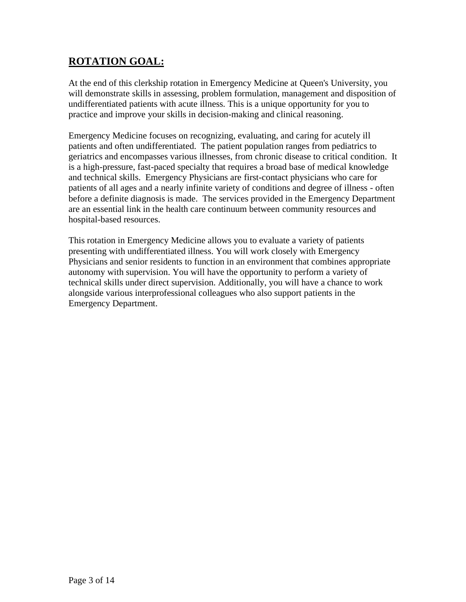# <span id="page-2-0"></span>**ROTATION GOAL:**

At the end of this clerkship rotation in Emergency Medicine at Queen's University, you will demonstrate skills in assessing, problem formulation, management and disposition of undifferentiated patients with acute illness. This is a unique opportunity for you to practice and improve your skills in decision-making and clinical reasoning.

Emergency Medicine focuses on recognizing, evaluating, and caring for acutely ill patients and often undifferentiated. The patient population ranges from pediatrics to geriatrics and encompasses various illnesses, from chronic disease to critical condition. It is a high-pressure, fast-paced specialty that requires a broad base of medical knowledge and technical skills. Emergency Physicians are first-contact physicians who care for patients of all ages and a nearly infinite variety of conditions and degree of illness - often before a definite diagnosis is made. The services provided in the Emergency Department are an essential link in the health care continuum between community resources and hospital-based resources.

This rotation in Emergency Medicine allows you to evaluate a variety of patients presenting with undifferentiated illness. You will work closely with Emergency Physicians and senior residents to function in an environment that combines appropriate autonomy with supervision. You will have the opportunity to perform a variety of technical skills under direct supervision. Additionally, you will have a chance to work alongside various interprofessional colleagues who also support patients in the Emergency Department.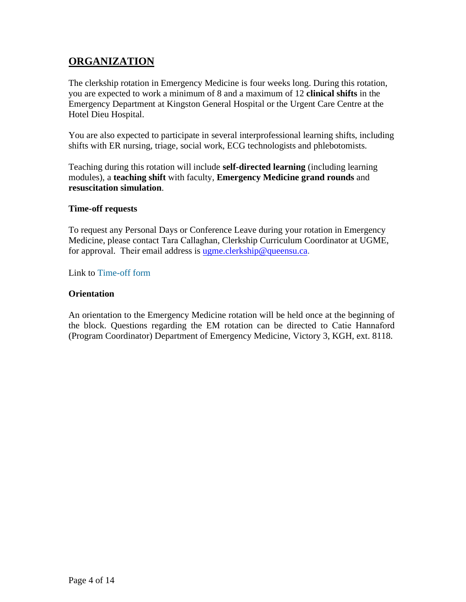# <span id="page-3-0"></span>**ORGANIZATION**

The clerkship rotation in Emergency Medicine is four weeks long. During this rotation, you are expected to work a minimum of 8 and a maximum of 12 **clinical shifts** in the Emergency Department at Kingston General Hospital or the Urgent Care Centre at the Hotel Dieu Hospital.

You are also expected to participate in several interprofessional learning shifts, including shifts with ER nursing, triage, social work, ECG technologists and phlebotomists.

Teaching during this rotation will include **self-directed learning** (including learning modules), a **teaching shift** with faculty, **Emergency Medicine grand rounds** and **resuscitation simulation**.

#### <span id="page-3-1"></span>**Time-off requests**

To request any Personal Days or Conference Leave during your rotation in Emergency Medicine, please contact Tara Callaghan, Clerkship Curriculum Coordinator at UGME, for approval. Their email address is [ugme.clerkship@queensu.ca.](mailto:ugme.clerkship@queensu.ca)

Link to [Time-off form](https://meds.queensu.ca/central/community/clerkship:additional_forms/document_sharing?section=view-file&id=56659&download=latest)

#### <span id="page-3-2"></span>**Orientation**

An orientation to the Emergency Medicine rotation will be held once at the beginning of the block. Questions regarding the EM rotation can be directed to Catie Hannaford (Program Coordinator) Department of Emergency Medicine, Victory 3, KGH, ext. 8118.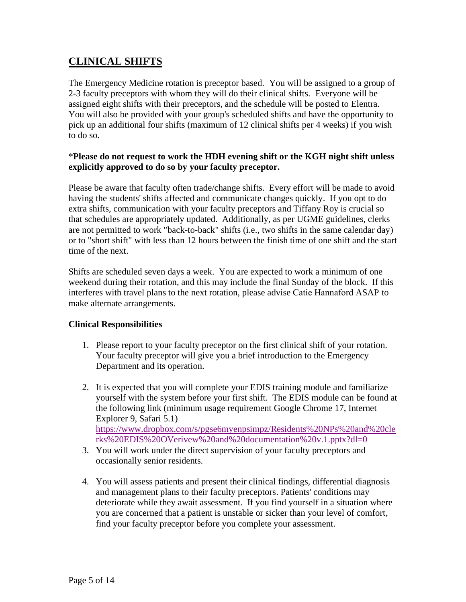# <span id="page-4-0"></span>**CLINICAL SHIFTS**

The Emergency Medicine rotation is preceptor based. You will be assigned to a group of 2-3 faculty preceptors with whom they will do their clinical shifts. Everyone will be assigned eight shifts with their preceptors, and the schedule will be posted to Elentra. You will also be provided with your group's scheduled shifts and have the opportunity to pick up an additional four shifts (maximum of 12 clinical shifts per 4 weeks) if you wish to do so.

## \***Please do not request to work the HDH evening shift or the KGH night shift unless explicitly approved to do so by your faculty preceptor.**

Please be aware that faculty often trade/change shifts. Every effort will be made to avoid having the students' shifts affected and communicate changes quickly. If you opt to do extra shifts, communication with your faculty preceptors and Tiffany Roy is crucial so that schedules are appropriately updated. Additionally, as per UGME guidelines, clerks are not permitted to work "back-to-back" shifts (i.e., two shifts in the same calendar day) or to "short shift" with less than 12 hours between the finish time of one shift and the start time of the next.

Shifts are scheduled seven days a week. You are expected to work a minimum of one weekend during their rotation, and this may include the final Sunday of the block. If this interferes with travel plans to the next rotation, please advise Catie Hannaford ASAP to make alternate arrangements.

# <span id="page-4-1"></span>**Clinical Responsibilities**

- 1. Please report to your faculty preceptor on the first clinical shift of your rotation. Your faculty preceptor will give you a brief introduction to the Emergency Department and its operation.
- 2. It is expected that you will complete your EDIS training module and familiarize yourself with the system before your first shift. The EDIS module can be found at the following link (minimum usage requirement Google Chrome 17, Internet Explorer 9, Safari 5.1) [https://www.dropbox.com/s/pgse6myenpsimpz/Residents%20NPs%20and%20cle](https://www.dropbox.com/s/pgse6myenpsimpz/Residents%20NPs%20and%20clerks%20EDIS%20OVerivew%20and%20documentation%20v.1.pptx?dl=0) [rks%20EDIS%20OVerivew%20and%20documentation%20v.1.pptx?dl=0](https://www.dropbox.com/s/pgse6myenpsimpz/Residents%20NPs%20and%20clerks%20EDIS%20OVerivew%20and%20documentation%20v.1.pptx?dl=0)
- 3. You will work under the direct supervision of your faculty preceptors and occasionally senior residents.
- 4. You will assess patients and present their clinical findings, differential diagnosis and management plans to their faculty preceptors. Patients' conditions may deteriorate while they await assessment. If you find yourself in a situation where you are concerned that a patient is unstable or sicker than your level of comfort, find your faculty preceptor before you complete your assessment.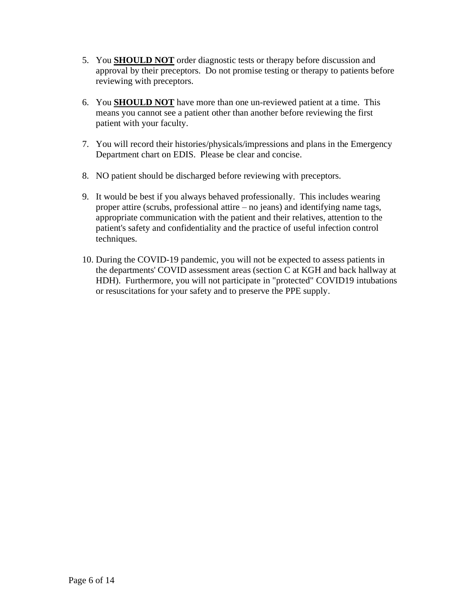- 5. You **SHOULD NOT** order diagnostic tests or therapy before discussion and approval by their preceptors. Do not promise testing or therapy to patients before reviewing with preceptors.
- 6. You **SHOULD NOT** have more than one un-reviewed patient at a time. This means you cannot see a patient other than another before reviewing the first patient with your faculty.
- 7. You will record their histories/physicals/impressions and plans in the Emergency Department chart on EDIS. Please be clear and concise.
- 8. NO patient should be discharged before reviewing with preceptors.
- 9. It would be best if you always behaved professionally. This includes wearing proper attire (scrubs, professional attire – no jeans) and identifying name tags, appropriate communication with the patient and their relatives, attention to the patient's safety and confidentiality and the practice of useful infection control techniques.
- 10. During the COVID-19 pandemic, you will not be expected to assess patients in the departments' COVID assessment areas (section C at KGH and back hallway at HDH). Furthermore, you will not participate in "protected" COVID19 intubations or resuscitations for your safety and to preserve the PPE supply.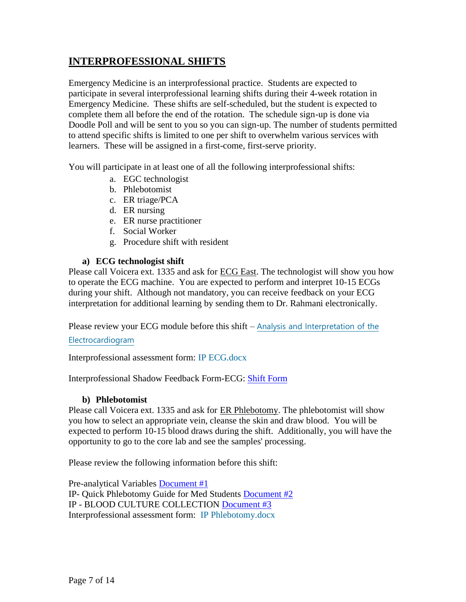# <span id="page-6-0"></span>**INTERPROFESSIONAL SHIFTS**

Emergency Medicine is an interprofessional practice. Students are expected to participate in several interprofessional learning shifts during their 4-week rotation in Emergency Medicine. These shifts are self-scheduled, but the student is expected to complete them all before the end of the rotation. The schedule sign-up is done via Doodle Poll and will be sent to you so you can sign-up. The number of students permitted to attend specific shifts is limited to one per shift to overwhelm various services with learners. These will be assigned in a first-come, first-serve priority.

You will participate in at least one of all the following interprofessional shifts:

- a. EGC technologist
- b. Phlebotomist
- c. ER triage/PCA
- d. ER nursing
- e. ER nurse practitioner
- f. Social Worker
- g. Procedure shift with resident

# **a) ECG technologist shift**

<span id="page-6-1"></span>Please call Voicera ext. 1335 and ask for **ECG East**. The technologist will show you how to operate the ECG machine. You are expected to perform and interpret 10-15 ECGs during your shift. Although not mandatory, you can receive feedback on your ECG interpretation for additional learning by sending them to Dr. Rahmani electronically.

Please review your ECG module before this shift – [Analysis and Interpretation of the](http://meds.queensu.ca/courses/assets/modules/ts-ecg/) 

[Electrocardiogram](http://meds.queensu.ca/courses/assets/modules/ts-ecg/)

Interprofessional assessment form: [IP ECG.docx](https://elentra.healthsci.queensu.ca/community/clerkshipperiop:documents?section=view-file&id=65243)

Interprofessional Shadow Feedback Form-ECG: [Shift Form](https://www.dropbox.com/s/e3j82rb262qmhf8/Interprofessional%20Shadow%20Feedback%20Form-ECG.pdf?dl=0)

# **b) Phlebotomist**

<span id="page-6-2"></span>Please call Voicera ext. 1335 and ask for ER Phlebotomy. The phlebotomist will show you how to select an appropriate vein, cleanse the skin and draw blood. You will be expected to perform 10-15 blood draws during the shift. Additionally, you will have the opportunity to go to the core lab and see the samples' processing.

Please review the following information before this shift:

Pre-analytical Variables [Document #1](https://www.dropbox.com/s/6nvkutb61b8vean/IP%20-%20Pre-Analytical%20Variables.pdf?dl=0) IP- Quick Phlebotomy Guide for Med Students [Document #2](https://www.dropbox.com/s/kckt1eljezuytcz/IP-%20Quick%20Phlebotomy%20Guide%20for%20Med%20Students.pdf?dl=0) IP - BLOOD CULTURE COLLECTION [Document #3](https://www.dropbox.com/s/wbmpo73ifvypki0/IP%20-%20BLOOD%20CULTURE%20COLLECTION.pdf?dl=0) Interprofessional assessment form: [IP Phlebotomy.docx](https://elentra.healthsci.queensu.ca/community/clerkshipperiop:documents?section=view-file&id=65245)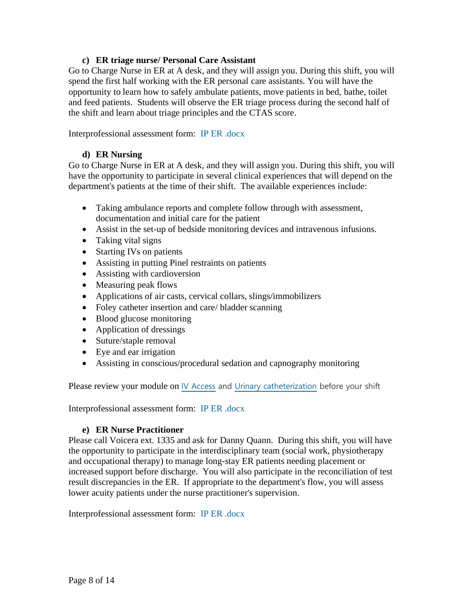#### **c) ER triage nurse/ Personal Care Assistant**

<span id="page-7-0"></span>Go to Charge Nurse in ER at A desk, and they will assign you. During this shift, you will spend the first half working with the ER personal care assistants. You will have the opportunity to learn how to safely ambulate patients, move patients in bed, bathe, toilet and feed patients. Students will observe the ER triage process during the second half of the shift and learn about triage principles and the CTAS score.

Interprofessional assessment form: [IP ER .docx](https://elentra.healthsci.queensu.ca/community/clerkshipperiop:documents?section=view-file&id=65244)

## **d) ER Nursing**

<span id="page-7-1"></span>Go to Charge Nurse in ER at A desk, and they will assign you. During this shift, you will have the opportunity to participate in several clinical experiences that will depend on the department's patients at the time of their shift. The available experiences include:

- Taking ambulance reports and complete follow through with assessment, documentation and initial care for the patient
- Assist in the set-up of bedside monitoring devices and intravenous infusions.
- Taking vital signs
- Starting IVs on patients
- Assisting in putting Pinel restraints on patients
- Assisting with cardioversion
- Measuring peak flows
- Applications of air casts, cervical collars, slings/immobilizers
- Foley catheter insertion and care/ bladder scanning
- Blood glucose monitoring
- Application of dressings
- Suture/staple removal
- Eye and ear irrigation
- Assisting in conscious/procedural sedation and capnography monitoring

Please review your module on [IV Access](http://meds.queensu.ca/courses/assets/modules/iv/) and [Urinary catheterization](https://meds.queensu.ca/central/assets/modules/ts-urinary-catheterization/) before your shift

Interprofessional assessment form: [IP ER .docx](https://elentra.healthsci.queensu.ca/community/clerkshipperiop:documents?section=view-file&id=65244)

# **e) ER Nurse Practitioner**

<span id="page-7-2"></span>Please call Voicera ext. 1335 and ask for Danny Quann. During this shift, you will have the opportunity to participate in the interdisciplinary team (social work, physiotherapy and occupational therapy) to manage long-stay ER patients needing placement or increased support before discharge. You will also participate in the reconciliation of test result discrepancies in the ER. If appropriate to the department's flow, you will assess lower acuity patients under the nurse practitioner's supervision.

Interprofessional assessment form: [IP ER .docx](https://elentra.healthsci.queensu.ca/community/clerkshipperiop:documents?section=view-file&id=65244)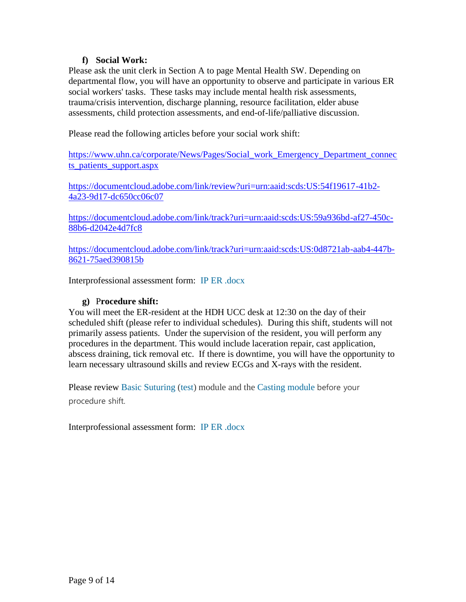#### **f) Social Work:**

<span id="page-8-0"></span>Please ask the unit clerk in Section A to page Mental Health SW. Depending on departmental flow, you will have an opportunity to observe and participate in various ER social workers' tasks. These tasks may include mental health risk assessments, trauma/crisis intervention, discharge planning, resource facilitation, elder abuse assessments, child protection assessments, and end-of-life/palliative discussion.

Please read the following articles before your social work shift:

[https://www.uhn.ca/corporate/News/Pages/Social\\_work\\_Emergency\\_Department\\_connec](https://webmail.kgh.on.ca/owa/redir.aspx?C=Y_zMP6SoDPsUxDFytB814TbxkCasXseiQlPmFPsUJ7klFUQgnQTYCA..&URL=https%3a%2f%2fwww.uhn.ca%2fcorporate%2fNews%2fPages%2fSocial_work_Emergency_Department_connects_patients_support.aspx) ts patients support.aspx

[https://documentcloud.adobe.com/link/review?uri=urn:aaid:scds:US:54f19617-41b2-](https://documentcloud.adobe.com/link/review?uri=urn:aaid:scds:US:54f19617-41b2-4a23-9d17-dc650cc06c07) [4a23-9d17-dc650cc06c07](https://documentcloud.adobe.com/link/review?uri=urn:aaid:scds:US:54f19617-41b2-4a23-9d17-dc650cc06c07)

[https://documentcloud.adobe.com/link/track?uri=urn:aaid:scds:US:59a936bd-af27-450c-](https://documentcloud.adobe.com/link/track?uri=urn:aaid:scds:US:59a936bd-af27-450c-88b6-d2042e4d7fc8)[88b6-d2042e4d7fc8](https://documentcloud.adobe.com/link/track?uri=urn:aaid:scds:US:59a936bd-af27-450c-88b6-d2042e4d7fc8)

[https://documentcloud.adobe.com/link/track?uri=urn:aaid:scds:US:0d8721ab-aab4-447b-](https://documentcloud.adobe.com/link/track?uri=urn:aaid:scds:US:0d8721ab-aab4-447b-8621-75aed390815b)[8621-75aed390815b](https://documentcloud.adobe.com/link/track?uri=urn:aaid:scds:US:0d8721ab-aab4-447b-8621-75aed390815b)

Interprofessional assessment form: [IP ER .docx](https://elentra.healthsci.queensu.ca/community/clerkshipperiop:documents?section=view-file&id=65244)

#### **g)** P**rocedure shift:**

<span id="page-8-1"></span>You will meet the ER-resident at the HDH UCC desk at 12:30 on the day of their scheduled shift (please refer to individual schedules). During this shift, students will not primarily assess patients. Under the supervision of the resident, you will perform any procedures in the department. This would include laceration repair, cast application, abscess draining, tick removal etc. If there is downtime, you will have the opportunity to learn necessary ultrasound skills and review ECGs and X-rays with the resident.

Please review [Basic Suturing](http://meds.queensu.ca/courses/assets/modules/basic_suturing/) [\(test\)](https://meds.queensu.ca/central/api/serve-learning-object.api.php?id=6720&filename=Basic+Suturing+and+Wound+Management+Quiz.docx) module and the [Casting module](https://elentra.healthsci.queensu.ca/link-event.php?id=7734) before your procedure shift.

Interprofessional assessment form: [IP ER .docx](https://elentra.healthsci.queensu.ca/community/clerkshipperiop:documents?section=view-file&id=65244)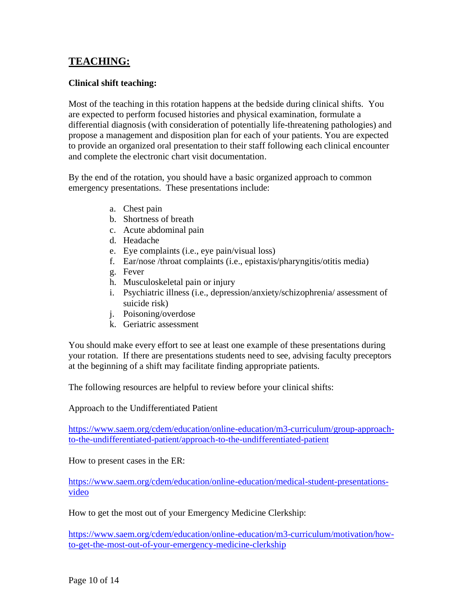# <span id="page-9-0"></span>**TEACHING:**

## <span id="page-9-1"></span>**Clinical shift teaching:**

Most of the teaching in this rotation happens at the bedside during clinical shifts. You are expected to perform focused histories and physical examination, formulate a differential diagnosis (with consideration of potentially life-threatening pathologies) and propose a management and disposition plan for each of your patients. You are expected to provide an organized oral presentation to their staff following each clinical encounter and complete the electronic chart visit documentation.

By the end of the rotation, you should have a basic organized approach to common emergency presentations. These presentations include:

- a. Chest pain
- b. Shortness of breath
- c. Acute abdominal pain
- d. Headache
- e. Eye complaints (i.e., eye pain/visual loss)
- f. Ear/nose /throat complaints (i.e., epistaxis/pharyngitis/otitis media)
- g. Fever
- h. Musculoskeletal pain or injury
- i. Psychiatric illness (i.e., depression/anxiety/schizophrenia/ assessment of suicide risk)
- j. Poisoning/overdose
- k. Geriatric assessment

You should make every effort to see at least one example of these presentations during your rotation. If there are presentations students need to see, advising faculty preceptors at the beginning of a shift may facilitate finding appropriate patients.

The following resources are helpful to review before your clinical shifts:

Approach to the Undifferentiated Patient

[https://www.saem.org/cdem/education/online-education/m3-curriculum/group-approach](https://www.saem.org/cdem/education/online-education/m3-curriculum/group-approach-to-the-undifferentiated-patient/approach-to-the-undifferentiated-patient)[to-the-undifferentiated-patient/approach-to-the-undifferentiated-patient](https://www.saem.org/cdem/education/online-education/m3-curriculum/group-approach-to-the-undifferentiated-patient/approach-to-the-undifferentiated-patient)

How to present cases in the ER:

[https://www.saem.org/cdem/education/online-education/medical-student-presentations](https://www.saem.org/cdem/education/online-education/medical-student-presentations-video)[video](https://www.saem.org/cdem/education/online-education/medical-student-presentations-video)

How to get the most out of your Emergency Medicine Clerkship:

[https://www.saem.org/cdem/education/online-education/m3-curriculum/motivation/how](https://www.saem.org/cdem/education/online-education/m3-curriculum/motivation/how-to-get-the-most-out-of-your-emergency-medicine-clerkship)[to-get-the-most-out-of-your-emergency-medicine-clerkship](https://www.saem.org/cdem/education/online-education/m3-curriculum/motivation/how-to-get-the-most-out-of-your-emergency-medicine-clerkship)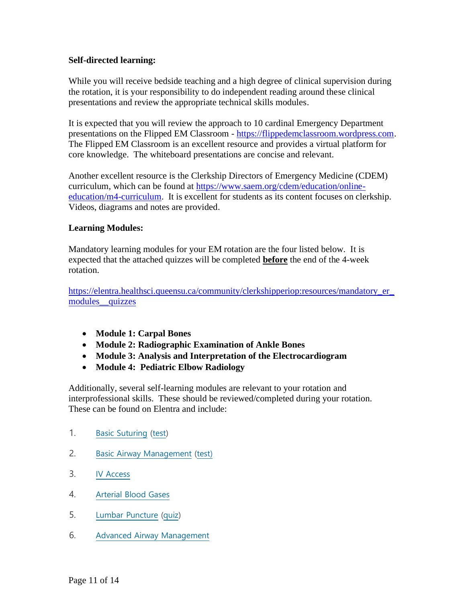## <span id="page-10-0"></span>**Self-directed learning:**

While you will receive bedside teaching and a high degree of clinical supervision during the rotation, it is your responsibility to do independent reading around these clinical presentations and review the appropriate technical skills modules.

It is expected that you will review the approach to 10 cardinal Emergency Department presentations on the Flipped EM Classroom - [https://flippedemclassroom.wordpress.com.](https://flippedemclassroom.wordpress.com/) The Flipped EM Classroom is an excellent resource and provides a virtual platform for core knowledge. The whiteboard presentations are concise and relevant.

Another excellent resource is the Clerkship Directors of Emergency Medicine (CDEM) curriculum, which can be found at [https://www.saem.org/cdem/education/online](https://www.saem.org/cdem/education/online-education/m4-curriculum)[education/m4-curriculum.](https://www.saem.org/cdem/education/online-education/m4-curriculum) It is excellent for students as its content focuses on clerkship. Videos, diagrams and notes are provided.

#### <span id="page-10-1"></span>**Learning Modules:**

Mandatory learning modules for your EM rotation are the four listed below. It is expected that the attached quizzes will be completed **before** the end of the 4-week rotation.

[https://elentra.healthsci.queensu.ca/community/clerkshipperiop:resources/mandatory\\_er\\_](https://elentra.healthsci.queensu.ca/community/clerkshipperiop:resources/mandatory_er_modules__quizzes) modules quizzes

- **Module 1: Carpal Bones**
- **Module 2: Radiographic Examination of Ankle Bones**
- **Module 3: Analysis and Interpretation of the Electrocardiogram**
- **Module 4: Pediatric Elbow Radiology**

Additionally, several self-learning modules are relevant to your rotation and interprofessional skills. These should be reviewed/completed during your rotation. These can be found on Elentra and include:

- 1. [Basic Suturing](http://meds.queensu.ca/courses/assets/modules/basic_suturing/) [\(test\)](https://meds.queensu.ca/central/api/serve-learning-object.api.php?id=6720&filename=Basic+Suturing+and+Wound+Management+Quiz.docx)
- 2. [Basic Airway Management](http://meds.queensu.ca/courses/assets/modules/basic-airway-management/) [\(test\)](https://meds.queensu.ca/central/api/serve-learning-object.api.php?id=6721&filename=Basic+Airway+Management+Quiz.docx)
- 3. [IV Access](http://meds.queensu.ca/courses/assets/modules/iv/)
- 4. [Arterial Blood Gases](http://meds.queensu.ca/courses/assets/modules/abgs/)
- 5. [Lumbar Puncture](http://meds.queensu.ca/courses/assets/modules/lumbar_puncture/) [\(quiz\)](https://meds.queensu.ca/central/api/serve-learning-object.api.php?id=6722&filename=Cast+Application+Quiz.docx)
- 6. [Advanced Airway Management](http://meds.queensu.ca/courses/assets/modules/advanced-airway-management/)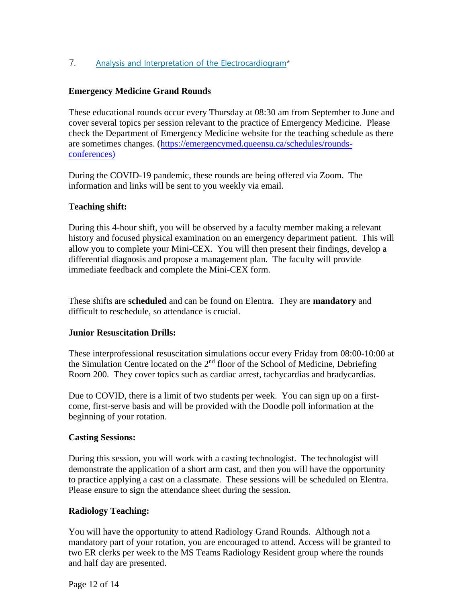# 7. [Analysis and Interpretation of the Electrocardiogram\\*](http://meds.queensu.ca/courses/assets/modules/ts-ecg/)

#### <span id="page-11-0"></span>**Emergency Medicine Grand Rounds**

These educational rounds occur every Thursday at 08:30 am from September to June and cover several topics per session relevant to the practice of Emergency Medicine. Please check the Department of Emergency Medicine website for the teaching schedule as there are sometimes changes. [\(https://emergencymed.queensu.ca/schedules/rounds](https://emergencymed.queensu.ca/schedules/rounds-conferences))[conferences\)](https://emergencymed.queensu.ca/schedules/rounds-conferences))

During the COVID-19 pandemic, these rounds are being offered via Zoom. The information and links will be sent to you weekly via email.

#### **Teaching shift:**

During this 4-hour shift, you will be observed by a faculty member making a relevant history and focused physical examination on an emergency department patient. This will allow you to complete your Mini-CEX. You will then present their findings, develop a differential diagnosis and propose a management plan. The faculty will provide immediate feedback and complete the Mini-CEX form.

<span id="page-11-1"></span>These shifts are **scheduled** and can be found on Elentra. They are **mandatory** and difficult to reschedule, so attendance is crucial.

#### **Junior Resuscitation Drills:**

These interprofessional resuscitation simulations occur every Friday from 08:00-10:00 at the Simulation Centre located on the  $2<sup>nd</sup>$  floor of the School of Medicine, Debriefing Room 200. They cover topics such as cardiac arrest, tachycardias and bradycardias.

Due to COVID, there is a limit of two students per week. You can sign up on a firstcome, first-serve basis and will be provided with the Doodle poll information at the beginning of your rotation.

#### **Casting Sessions:**

During this session, you will work with a casting technologist. The technologist will demonstrate the application of a short arm cast, and then you will have the opportunity to practice applying a cast on a classmate. These sessions will be scheduled on Elentra. Please ensure to sign the attendance sheet during the session.

#### **Radiology Teaching:**

You will have the opportunity to attend Radiology Grand Rounds. Although not a mandatory part of your rotation, you are encouraged to attend. Access will be granted to two ER clerks per week to the MS Teams Radiology Resident group where the rounds and half day are presented.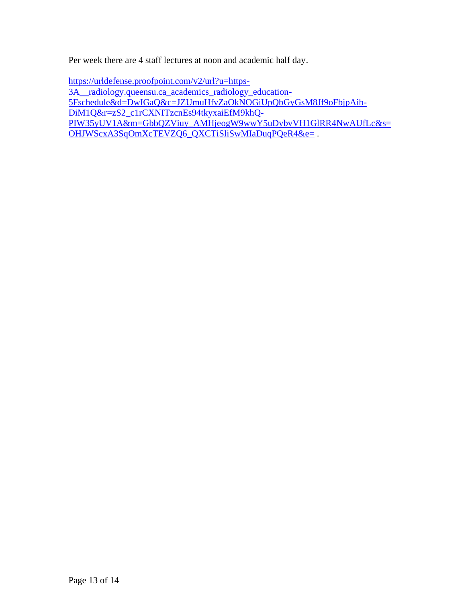Per week there are 4 staff lectures at noon and academic half day.

[https://urldefense.proofpoint.com/v2/url?u=https-](https://urldefense.proofpoint.com/v2/url?u=https-3A__radiology.queensu.ca_academics_radiology_education-5Fschedule&d=DwIGaQ&c=JZUmuHfvZaOkNOGiUpQbGyGsM8Jf9oFbjpAib-DiM1Q&r=zS2_c1rCXNITzcnEs94tkyxaiEfM9khQ-PIW35yUV1A&m=GbbQZViuy_AMHjeogW9wwY5uDybvVH1GlRR4NwAUfLc&s=OHJWScxA3SqOmXcTEVZQ6_QXCTiSliSwMIaDuqPQeR4&e=)[3A\\_\\_radiology.queensu.ca\\_academics\\_radiology\\_education-](https://urldefense.proofpoint.com/v2/url?u=https-3A__radiology.queensu.ca_academics_radiology_education-5Fschedule&d=DwIGaQ&c=JZUmuHfvZaOkNOGiUpQbGyGsM8Jf9oFbjpAib-DiM1Q&r=zS2_c1rCXNITzcnEs94tkyxaiEfM9khQ-PIW35yUV1A&m=GbbQZViuy_AMHjeogW9wwY5uDybvVH1GlRR4NwAUfLc&s=OHJWScxA3SqOmXcTEVZQ6_QXCTiSliSwMIaDuqPQeR4&e=)[5Fschedule&d=DwIGaQ&c=JZUmuHfvZaOkNOGiUpQbGyGsM8Jf9oFbjpAib-](https://urldefense.proofpoint.com/v2/url?u=https-3A__radiology.queensu.ca_academics_radiology_education-5Fschedule&d=DwIGaQ&c=JZUmuHfvZaOkNOGiUpQbGyGsM8Jf9oFbjpAib-DiM1Q&r=zS2_c1rCXNITzcnEs94tkyxaiEfM9khQ-PIW35yUV1A&m=GbbQZViuy_AMHjeogW9wwY5uDybvVH1GlRR4NwAUfLc&s=OHJWScxA3SqOmXcTEVZQ6_QXCTiSliSwMIaDuqPQeR4&e=)[DiM1Q&r=zS2\\_c1rCXNITzcnEs94tkyxaiEfM9khQ-](https://urldefense.proofpoint.com/v2/url?u=https-3A__radiology.queensu.ca_academics_radiology_education-5Fschedule&d=DwIGaQ&c=JZUmuHfvZaOkNOGiUpQbGyGsM8Jf9oFbjpAib-DiM1Q&r=zS2_c1rCXNITzcnEs94tkyxaiEfM9khQ-PIW35yUV1A&m=GbbQZViuy_AMHjeogW9wwY5uDybvVH1GlRR4NwAUfLc&s=OHJWScxA3SqOmXcTEVZQ6_QXCTiSliSwMIaDuqPQeR4&e=)[PIW35yUV1A&m=GbbQZViuy\\_AMHjeogW9wwY5uDybvVH1GlRR4NwAUfLc&s=](https://urldefense.proofpoint.com/v2/url?u=https-3A__radiology.queensu.ca_academics_radiology_education-5Fschedule&d=DwIGaQ&c=JZUmuHfvZaOkNOGiUpQbGyGsM8Jf9oFbjpAib-DiM1Q&r=zS2_c1rCXNITzcnEs94tkyxaiEfM9khQ-PIW35yUV1A&m=GbbQZViuy_AMHjeogW9wwY5uDybvVH1GlRR4NwAUfLc&s=OHJWScxA3SqOmXcTEVZQ6_QXCTiSliSwMIaDuqPQeR4&e=) [OHJWScxA3SqOmXcTEVZQ6\\_QXCTiSliSwMIaDuqPQeR4&e=](https://urldefense.proofpoint.com/v2/url?u=https-3A__radiology.queensu.ca_academics_radiology_education-5Fschedule&d=DwIGaQ&c=JZUmuHfvZaOkNOGiUpQbGyGsM8Jf9oFbjpAib-DiM1Q&r=zS2_c1rCXNITzcnEs94tkyxaiEfM9khQ-PIW35yUV1A&m=GbbQZViuy_AMHjeogW9wwY5uDybvVH1GlRR4NwAUfLc&s=OHJWScxA3SqOmXcTEVZQ6_QXCTiSliSwMIaDuqPQeR4&e=) .